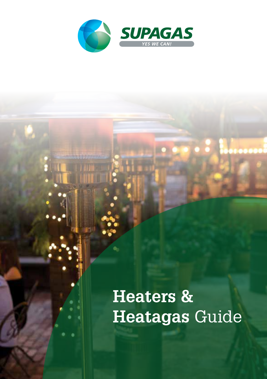

**Heaters & Heatagas** Guide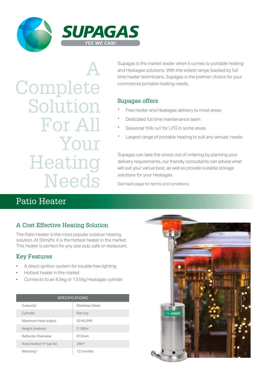

A Complete Solution For All Your **Heating Needs** 

Supagas is the market leader when it comes to portable heating and Heatagas solutions. With the widest range, backed by full time heater technicians, Supagas is the premier choice for your commercial portable heating needs.

#### Supagas offers

- Free heater and Heatagas delivery to most areas
- · Dedicated full time maintenance team
- Seasonal 'milk run' for LPG in some areas
- Largest range of portable heating to suit any venues' needs

Supagas can take the stress out of ordering by planning your delivery requirements, our friendly consultants can advise what will suit your venue best, as well as provide suitable storage solutions for your Heatagas.

See back page for terms and conditions.

## Patio Heater

## A Cost Effective Heating Solution

The Patio Heater is the most popular outdoor heating solution. At 50mj/hr, it is the hottest heater in the market. This heater is perfect for any size pub, cafe or restaurant.

## Key Features

- A direct ignition system for trouble free lighting
- Hottest heater in the market
- Connects to an 8.5kg or 13.5kg Heatagas cylinder

| <b>SPECIFICATIONS</b>              |                        |
|------------------------------------|------------------------|
| Colour(s)                          | <b>Stainless Steel</b> |
| Cylinder                           | Flat top               |
| Maximum heat output                | 50 MJ/HR               |
| Height (metres)                    | 2.180m                 |
| Reflector Diameter                 | 813mm                  |
| Area heated m <sup>2</sup> (up to) | 28 <sup>m²</sup>       |
| Warranty <sup>+</sup>              | 12 months              |

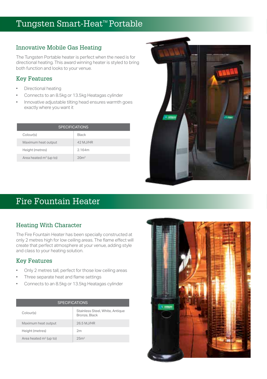## Tungsten Smart-Heat<sup>™</sup> Portable

### Innovative Mobile Gas Heating

The Tungsten Portable heater is perfect when the need is for directional heating. This award winning heater is styled to bring both function and looks to your venue.

### Key Features

- Directional heating
- Connects to an 8.5kg or 13.5kg Heatagas cylinder
- Innovative adjustable tilting head ensures warmth goes exactly where you want it

| <b>SPECIFICATIONS</b>              |                  |  |
|------------------------------------|------------------|--|
| Colour(s)                          | Black            |  |
| Maximum heat output                | 42 M.J/HR        |  |
| Height (metres)                    | 2.164m           |  |
| Area heated m <sup>2</sup> (up to) | 20 <sup>m²</sup> |  |



## Fire Fountain Heater

## Heating With Character

The Fire Fountain Heater has been specially constructed at only 2 metres high for low ceiling areas. The flame effect will create that perfect atmosphere at your venue, adding style and class to your heating solution.

## Key Features

- Only 2 metres tall, perfect for those low ceiling areas
- Three separate heat and flame settings
- Connects to an 8.5kg or 13.5kg Heatagas cylinder

| <b>SPECIFICATIONS</b>              |                                                  |  |
|------------------------------------|--------------------------------------------------|--|
| Colour(s)                          | Stainless Steel, White, Antique<br>Bronze, Black |  |
| Maximum heat output                | 26.5 MJ/HR                                       |  |
| Height (metres)                    | 2m                                               |  |
| Area heated m <sup>2</sup> (up to) | 25m <sup>2</sup>                                 |  |

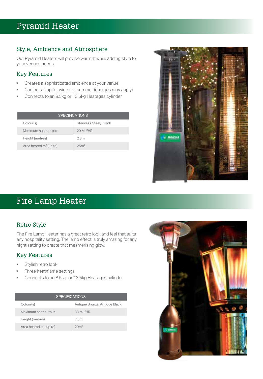## Pyramid Heater

### Style, Ambience and Atmosphere

Our Pyramid Heaters will provide warmth while adding style to your venues needs.

#### Key Features

- Creates a sophisticated ambience at your venue
- Can be set up for winter or summer (charges may apply)
- Connects to an 8.5kg or 13.5kg Heatagas cylinder

| <b>SPECIFICATIONS</b>              |                        |  |
|------------------------------------|------------------------|--|
| Colour(s)                          | Stainless Steel, Black |  |
| Maximum heat output                | 29 M.J/HR              |  |
| Height (metres)                    | 2.3 <sub>m</sub>       |  |
| Area heated m <sup>2</sup> (up to) | 25 <sub>cm2</sub>      |  |



## Fire Lamp Heater

## Retro Style

The Fire Lamp Heater has a great retro look and feel that suits any hospitality setting. The lamp effect is truly amazing for any night setting to create that mesmerising glow.

## Key Features

- Stylish retro look
- Three heat/flame settings
- Connects to an 8.5kg or 13.5kg Heatagas cylinder

| <b>SPECIFICATIONS</b>              |                               |  |
|------------------------------------|-------------------------------|--|
| Colour(s)                          | Antique Bronze, Antique Black |  |
| Maximum heat output                | 33 MJ/HR                      |  |
| Height (metres)                    | 2.3 <sub>m</sub>              |  |
| Area heated m <sup>2</sup> (up to) | 20 <sup>m²</sup>              |  |

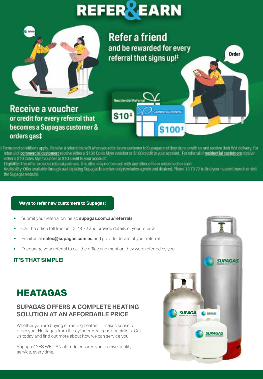# **REFER REARN**



**Refer a friend** and be rewarded for every referral that signs up!<sup>#</sup>

Commercial Referral

\$100\*

**Receive a voucher** or credit for every referral that becomes a Supagas customer & orders gas‡

I Terms and conditions apply. Receive a referral benefit when you refer a new customer to Supagas and they sign up with us and receive their first delivery. For referral of commercial customers receive either a \$100 Coles Myer voucher or \$100 credit to your account. For referral of residential customers receive either a \$10 Coles Myer voucher or \$10 credit to your account.

**Residential Ref** 

 $$10*$ 

Eligibility: This offer excludes referral partners. This offer may not be used with any other offer or redeemed (or cash,<br>Availability: Offer available through participating Supages branches only (excludes agents and deale the Supagas website

#### **Ways to refer new customers to Supagas:**

- Submit your referral online at: **supagas.com.au/referrals**
- Call the office toll free on 13 78 72 and provide details of your referral
- Email us at **sales@supagas.com.au** and provide details of your referral
- Encourage your referral to call the office and mention they were referred by you.

#### **IT'S THAT SIMPLE!**



## **SUPAGAS OFFERS A COMPLETE HEATING SOLUTION AT AN AFFORDABLE PRICE**

Whether you are buying or renting heaters, it makes sense to order your Heatagas from the cylinder Heatagas specialists. Call us today and find out more about how we can service you.

Supagas' YES WE CAN attitude ensures you receive quality service, every time.



Order